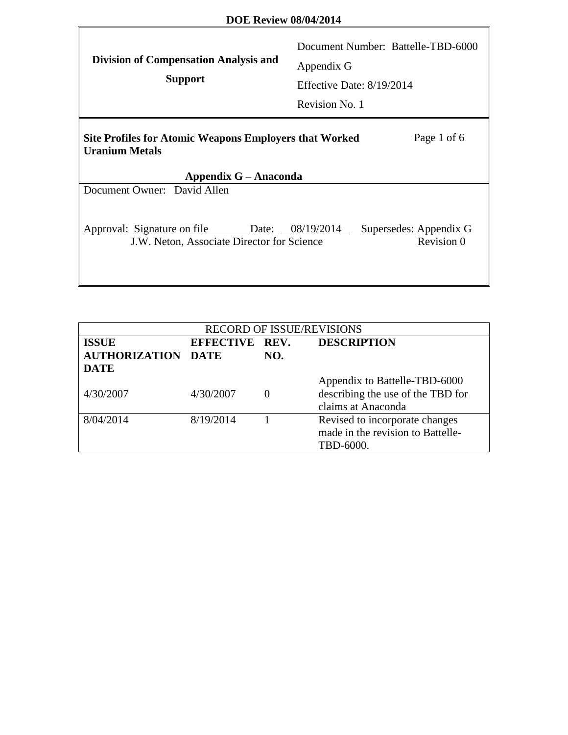### **DOE Review 08/04/2014**

Г

| <b>Division of Compensation Analysis and</b><br><b>Support</b>                                                                 | Document Number: Battelle-TBD-6000<br>Appendix G<br>Effective Date: 8/19/2014<br>Revision No. 1 |  |  |  |
|--------------------------------------------------------------------------------------------------------------------------------|-------------------------------------------------------------------------------------------------|--|--|--|
| Page 1 of 6<br><b>Site Profiles for Atomic Weapons Employers that Worked</b><br><b>Uranium Metals</b><br>Appendix G – Anaconda |                                                                                                 |  |  |  |
| Document Owner: David Allen                                                                                                    |                                                                                                 |  |  |  |
| Approval: Signature on file<br>J.W. Neton, Associate Director for Science                                                      | Supersedes: Appendix G<br>Date: 08/19/2014<br>Revision 0                                        |  |  |  |

| <b>RECORD OF ISSUE/REVISIONS</b>          |                |     |                                                                                          |  |
|-------------------------------------------|----------------|-----|------------------------------------------------------------------------------------------|--|
| <b>ISSUE</b><br><b>AUTHORIZATION DATE</b> | EFFECTIVE REV. | NO. | <b>DESCRIPTION</b>                                                                       |  |
| <b>DATE</b>                               |                |     |                                                                                          |  |
| 4/30/2007                                 | 4/30/2007      |     | Appendix to Battelle-TBD-6000<br>describing the use of the TBD for<br>claims at Anaconda |  |
| 8/04/2014                                 | 8/19/2014      |     | Revised to incorporate changes<br>made in the revision to Battelle-<br>TBD-6000.         |  |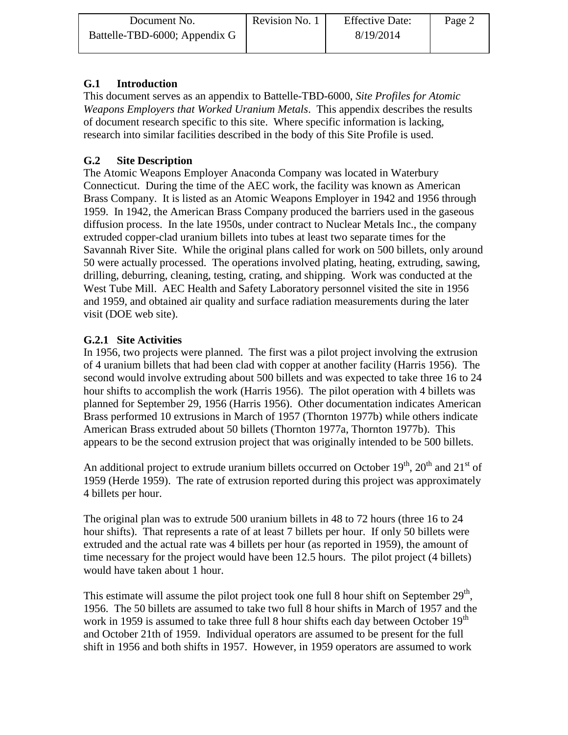| Document No.                  | Revision No. 1 | <b>Effective Date:</b> | Page 2 |
|-------------------------------|----------------|------------------------|--------|
| Battelle-TBD-6000; Appendix G |                | 8/19/2014              |        |

## **G.1 Introduction**

This document serves as an appendix to Battelle-TBD-6000, *Site Profiles for Atomic Weapons Employers that Worked Uranium Metals*. This appendix describes the results of document research specific to this site. Where specific information is lacking, research into similar facilities described in the body of this Site Profile is used.

# **G.2 Site Description**

The Atomic Weapons Employer Anaconda Company was located in Waterbury Connecticut. During the time of the AEC work, the facility was known as American Brass Company. It is listed as an Atomic Weapons Employer in 1942 and 1956 through 1959. In 1942, the American Brass Company produced the barriers used in the gaseous diffusion process. In the late 1950s, under contract to Nuclear Metals Inc., the company extruded copper-clad uranium billets into tubes at least two separate times for the Savannah River Site. While the original plans called for work on 500 billets, only around 50 were actually processed. The operations involved plating, heating, extruding, sawing, drilling, deburring, cleaning, testing, crating, and shipping. Work was conducted at the West Tube Mill. AEC Health and Safety Laboratory personnel visited the site in 1956 and 1959, and obtained air quality and surface radiation measurements during the later visit (DOE web site).

## **G.2.1 Site Activities**

In 1956, two projects were planned. The first was a pilot project involving the extrusion of 4 uranium billets that had been clad with copper at another facility (Harris 1956). The second would involve extruding about 500 billets and was expected to take three 16 to 24 hour shifts to accomplish the work (Harris 1956). The pilot operation with 4 billets was planned for September 29, 1956 (Harris 1956). Other documentation indicates American Brass performed 10 extrusions in March of 1957 (Thornton 1977b) while others indicate American Brass extruded about 50 billets (Thornton 1977a, Thornton 1977b). This appears to be the second extrusion project that was originally intended to be 500 billets.

An additional project to extrude uranium billets occurred on October  $19<sup>th</sup>$ ,  $20<sup>th</sup>$  and  $21<sup>st</sup>$  of 1959 (Herde 1959). The rate of extrusion reported during this project was approximately 4 billets per hour.

The original plan was to extrude 500 uranium billets in 48 to 72 hours (three 16 to 24 hour shifts). That represents a rate of at least 7 billets per hour. If only 50 billets were extruded and the actual rate was 4 billets per hour (as reported in 1959), the amount of time necessary for the project would have been 12.5 hours. The pilot project (4 billets) would have taken about 1 hour.

This estimate will assume the pilot project took one full 8 hour shift on September  $29<sup>th</sup>$ , 1956. The 50 billets are assumed to take two full 8 hour shifts in March of 1957 and the work in 1959 is assumed to take three full 8 hour shifts each day between October  $19<sup>th</sup>$ and October 21th of 1959. Individual operators are assumed to be present for the full shift in 1956 and both shifts in 1957. However, in 1959 operators are assumed to work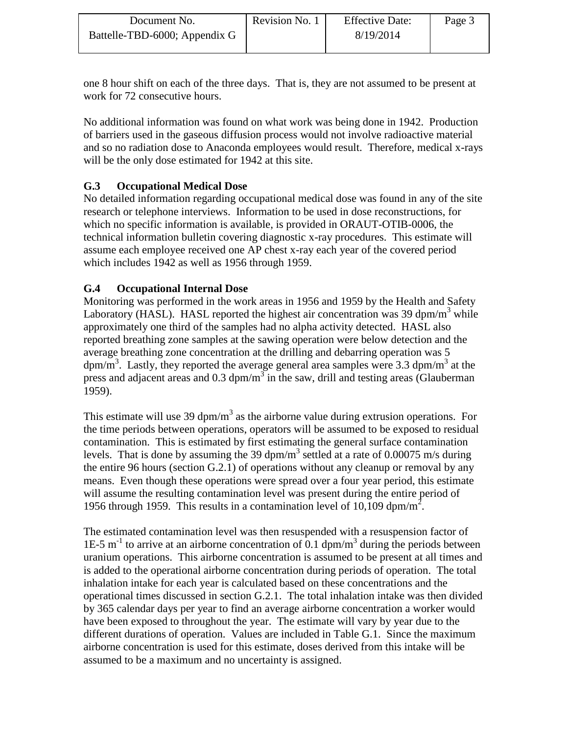| Document No.                  | Revision No. 1 | <b>Effective Date:</b> | Page 3 |
|-------------------------------|----------------|------------------------|--------|
| Battelle-TBD-6000; Appendix G |                | 8/19/2014              |        |

one 8 hour shift on each of the three days. That is, they are not assumed to be present at work for 72 consecutive hours.

No additional information was found on what work was being done in 1942. Production of barriers used in the gaseous diffusion process would not involve radioactive material and so no radiation dose to Anaconda employees would result. Therefore, medical x-rays will be the only dose estimated for 1942 at this site.

## **G.3 Occupational Medical Dose**

No detailed information regarding occupational medical dose was found in any of the site research or telephone interviews. Information to be used in dose reconstructions, for which no specific information is available, is provided in ORAUT-OTIB-0006, the technical information bulletin covering diagnostic x-ray procedures. This estimate will assume each employee received one AP chest x-ray each year of the covered period which includes 1942 as well as 1956 through 1959.

### **G.4 Occupational Internal Dose**

Monitoring was performed in the work areas in 1956 and 1959 by the Health and Safety Laboratory (HASL). HASL reported the highest air concentration was 39 dpm/m<sup>3</sup> while approximately one third of the samples had no alpha activity detected. HASL also reported breathing zone samples at the sawing operation were below detection and the average breathing zone concentration at the drilling and debarring operation was 5 dpm/m<sup>3</sup>. Lastly, they reported the average general area samples were 3.3 dpm/m<sup>3</sup> at the press and adjacent areas and  $0.3 \text{ dpm/m}^3$  in the saw, drill and testing areas (Glauberman 1959).

This estimate will use 39 dpm/m<sup>3</sup> as the airborne value during extrusion operations. For the time periods between operations, operators will be assumed to be exposed to residual contamination. This is estimated by first estimating the general surface contamination levels. That is done by assuming the 39 dpm/m<sup>3</sup> settled at a rate of 0.00075 m/s during the entire 96 hours (section G.2.1) of operations without any cleanup or removal by any means. Even though these operations were spread over a four year period, this estimate will assume the resulting contamination level was present during the entire period of 1956 through 1959. This results in a contamination level of 10,109 dpm/m<sup>2</sup>.

The estimated contamination level was then resuspended with a resuspension factor of 1E-5  $m^{-1}$  to arrive at an airborne concentration of 0.1 dpm/m<sup>3</sup> during the periods between uranium operations. This airborne concentration is assumed to be present at all times and is added to the operational airborne concentration during periods of operation. The total inhalation intake for each year is calculated based on these concentrations and the operational times discussed in section G.2.1. The total inhalation intake was then divided by 365 calendar days per year to find an average airborne concentration a worker would have been exposed to throughout the year. The estimate will vary by year due to the different durations of operation. Values are included in Table G.1. Since the maximum airborne concentration is used for this estimate, doses derived from this intake will be assumed to be a maximum and no uncertainty is assigned.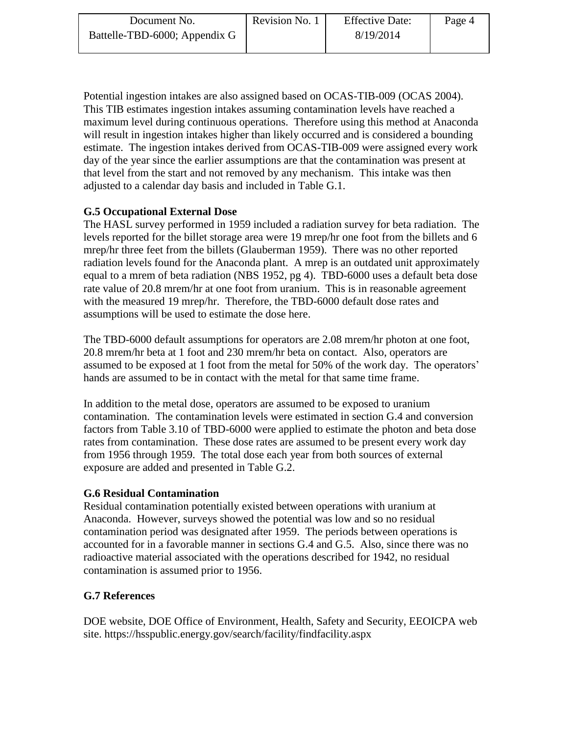| Document No.                  | Revision No. 1 | <b>Effective Date:</b> | Page 4 |
|-------------------------------|----------------|------------------------|--------|
| Battelle-TBD-6000; Appendix G |                | 8/19/2014              |        |

Potential ingestion intakes are also assigned based on OCAS-TIB-009 (OCAS 2004). This TIB estimates ingestion intakes assuming contamination levels have reached a maximum level during continuous operations. Therefore using this method at Anaconda will result in ingestion intakes higher than likely occurred and is considered a bounding estimate. The ingestion intakes derived from OCAS-TIB-009 were assigned every work day of the year since the earlier assumptions are that the contamination was present at that level from the start and not removed by any mechanism. This intake was then adjusted to a calendar day basis and included in Table G.1.

### **G.5 Occupational External Dose**

The HASL survey performed in 1959 included a radiation survey for beta radiation. The levels reported for the billet storage area were 19 mrep/hr one foot from the billets and 6 mrep/hr three feet from the billets (Glauberman 1959). There was no other reported radiation levels found for the Anaconda plant. A mrep is an outdated unit approximately equal to a mrem of beta radiation (NBS 1952, pg 4). TBD-6000 uses a default beta dose rate value of 20.8 mrem/hr at one foot from uranium. This is in reasonable agreement with the measured 19 mrep/hr. Therefore, the TBD-6000 default dose rates and assumptions will be used to estimate the dose here.

The TBD-6000 default assumptions for operators are 2.08 mrem/hr photon at one foot, 20.8 mrem/hr beta at 1 foot and 230 mrem/hr beta on contact. Also, operators are assumed to be exposed at 1 foot from the metal for 50% of the work day. The operators' hands are assumed to be in contact with the metal for that same time frame.

In addition to the metal dose, operators are assumed to be exposed to uranium contamination. The contamination levels were estimated in section G.4 and conversion factors from Table 3.10 of TBD-6000 were applied to estimate the photon and beta dose rates from contamination. These dose rates are assumed to be present every work day from 1956 through 1959. The total dose each year from both sources of external exposure are added and presented in Table G.2.

#### **G.6 Residual Contamination**

Residual contamination potentially existed between operations with uranium at Anaconda. However, surveys showed the potential was low and so no residual contamination period was designated after 1959. The periods between operations is accounted for in a favorable manner in sections G.4 and G.5. Also, since there was no radioactive material associated with the operations described for 1942, no residual contamination is assumed prior to 1956.

#### **G.7 References**

DOE website, DOE Office of Environment, Health, Safety and Security, EEOICPA web site. https://hsspublic.energy.gov/search/facility/findfacility.aspx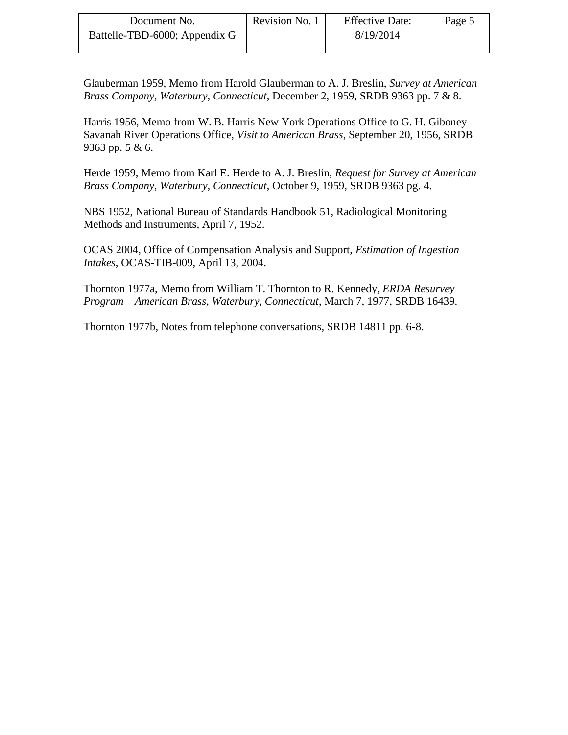| Document No.                  | Revision No. 1 | <b>Effective Date:</b> | Page 5 |
|-------------------------------|----------------|------------------------|--------|
| Battelle-TBD-6000; Appendix G |                | 8/19/2014              |        |

Glauberman 1959, Memo from Harold Glauberman to A. J. Breslin, *Survey at American Brass Company, Waterbury, Connecticut*, December 2, 1959, SRDB 9363 pp. 7 & 8.

Harris 1956, Memo from W. B. Harris New York Operations Office to G. H. Giboney Savanah River Operations Office, *Visit to American Brass*, September 20, 1956, SRDB 9363 pp. 5 & 6.

Herde 1959, Memo from Karl E. Herde to A. J. Breslin, *Request for Survey at American Brass Company, Waterbury, Connecticut*, October 9, 1959, SRDB 9363 pg. 4.

NBS 1952, National Bureau of Standards Handbook 51, Radiological Monitoring Methods and Instruments, April 7, 1952.

OCAS 2004, Office of Compensation Analysis and Support, *Estimation of Ingestion Intakes*, OCAS-TIB-009, April 13, 2004.

Thornton 1977a, Memo from William T. Thornton to R. Kennedy, *ERDA Resurvey Program – American Brass, Waterbury, Connecticut*, March 7, 1977, SRDB 16439.

Thornton 1977b, Notes from telephone conversations, SRDB 14811 pp. 6-8.